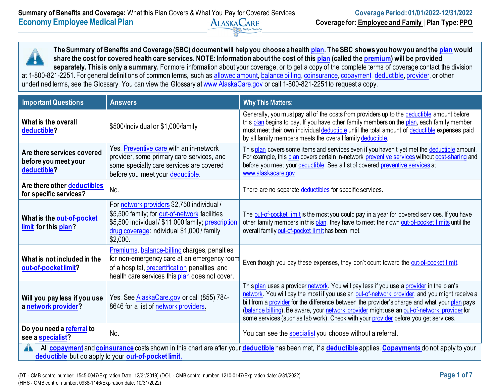**The Summary of Benefits and Coverage (SBC) document will help you choose a health [plan.](https://www.healthcare.gov/sbc-glossary/#plan) The SBC shows you how you and the [plan](https://www.healthcare.gov/sbc-glossary/#plan) would share the cost for covered health care services. NOTE: Information about the cost of this [plan](https://www.healthcare.gov/sbc-glossary/#plan) (called the [premium\)](https://www.healthcare.gov/sbc-glossary/#premium) will be provided**  separately. This is only a summary. For more information about your coverage, or to get a copy of the complete terms of coverage contact the division at 1-800-821-2251. For general definitions of common terms, such as [allowed amount,](https://www.healthcare.gov/sbc-glossary/#allowed-amount) [balance billing,](https://www.healthcare.gov/sbc-glossary/#balance-billing) [coinsurance,](https://www.healthcare.gov/sbc-glossary/#coinsurance) [copayment,](https://www.healthcare.gov/sbc-glossary/#copayment) [deductible,](https://www.healthcare.gov/sbc-glossary/#deductible) [provider,](https://www.healthcare.gov/sbc-glossary/#provider) or other underlined terms, see the Glossary. You can view the Glossary at [www.AlaskaCare.gov](http://www.alaskacare.gov/) or call 1-800-821-2251 to request a copy.

| <b>Important Questions</b>                                        | <b>Answers</b>                                                                                                                                                                                              | <b>Why This Matters:</b>                                                                                                                                                                                                                                                                                                                                                                                                                                                         |
|-------------------------------------------------------------------|-------------------------------------------------------------------------------------------------------------------------------------------------------------------------------------------------------------|----------------------------------------------------------------------------------------------------------------------------------------------------------------------------------------------------------------------------------------------------------------------------------------------------------------------------------------------------------------------------------------------------------------------------------------------------------------------------------|
| What is the overall<br>deductible?                                | \$500/Individual or \$1,000/family                                                                                                                                                                          | Generally, you must pay all of the costs from providers up to the deductible amount before<br>this plan begins to pay. If you have other family members on the plan, each family member<br>must meet their own individual deductible until the total amount of deductible expenses paid<br>by all family members meets the overall family deductible.                                                                                                                            |
| Are there services covered<br>before you meet your<br>deductible? | Yes. Preventive care with an in-network<br>provider, some primary care services, and<br>some specialty care services are covered<br>before you meet your deductible.                                        | This plan covers some items and services even if you haven't yet met the deductible amount.<br>For example, this plan covers certain in-network preventive services without cost-sharing and<br>before you meet your deductible. See a list of covered preventive services at<br>www.alaskacare.gov                                                                                                                                                                              |
| Are there other deductibles<br>for specific services?             | No.                                                                                                                                                                                                         | There are no separate deductibles for specific services.                                                                                                                                                                                                                                                                                                                                                                                                                         |
| What is the out-of-pocket<br>limit for this plan?                 | For network providers \$2,750 individual /<br>\$5,500 family; for out-of-network facilities<br>\$5,500 individual / \$11,000 family; prescription<br>drug coverage: individual \$1,000 / family<br>\$2,000. | The out-of-pocket limit is the most you could pay in a year for covered services. If you have<br>other family members in this plan, they have to meet their own out-of-pocket limits until the<br>overall family out-of-pocket limit has been met.                                                                                                                                                                                                                               |
| What is not included in the<br>out-of-pocket limit?               | Premiums, balance-billing charges, penalties<br>for non-emergency care at an emergency room<br>of a hospital, precertification penalties, and<br>health care services this plan does not cover.             | Even though you pay these expenses, they don't count toward the out-of-pocket limit.                                                                                                                                                                                                                                                                                                                                                                                             |
| Will you pay less if you use<br>a network provider?               | Yes. See AlaskaCare.gov or call (855) 784-<br>8646 for a list of network providers.                                                                                                                         | This plan uses a provider network. You will pay less if you use a provider in the plan's<br>network. You will pay the most if you use an out-of-network provider, and you might receive a<br>bill from a provider for the difference between the provider's charge and what your plan pays<br>(balance billing). Be aware, your network provider might use an out-of-network provider for<br>some services (such as lab work). Check with your provider before you get services. |
| Do you need a referral to<br>see a specialist?                    | No.                                                                                                                                                                                                         | You can see the specialist you choose without a referral.                                                                                                                                                                                                                                                                                                                                                                                                                        |
| A                                                                 | deductible, but do apply to your out-of-pocket limit.                                                                                                                                                       | All copayment and coinsurance costs shown in this chart are after your deductible has been met, if a deductible applies. Copayments do not apply to your                                                                                                                                                                                                                                                                                                                         |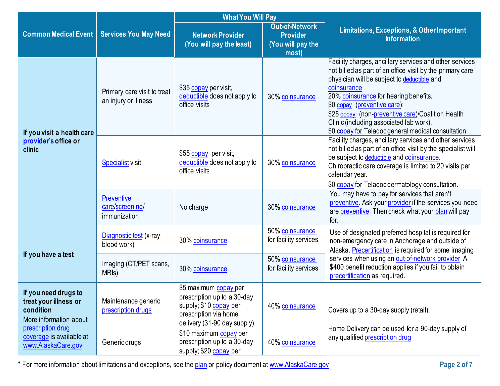|                                                                                                                                                             |                                                      | <b>What You Will Pay</b>                                                                                                                |                                                                        |                                                                                                                                                                                                                                                                                                                                                                                                                     |  |
|-------------------------------------------------------------------------------------------------------------------------------------------------------------|------------------------------------------------------|-----------------------------------------------------------------------------------------------------------------------------------------|------------------------------------------------------------------------|---------------------------------------------------------------------------------------------------------------------------------------------------------------------------------------------------------------------------------------------------------------------------------------------------------------------------------------------------------------------------------------------------------------------|--|
| <b>Common Medical Event</b>                                                                                                                                 | <b>Services You May Need</b>                         | <b>Network Provider</b><br>(You will pay the least)                                                                                     | <b>Out-of-Network</b><br><b>Provider</b><br>(You will pay the<br>most) | <b>Limitations, Exceptions, &amp; Other Important</b><br><b>Information</b>                                                                                                                                                                                                                                                                                                                                         |  |
| If you visit a health care                                                                                                                                  | Primary care visit to treat<br>an injury or illness  | \$35 copay per visit,<br>deductible does not apply to<br>office visits                                                                  | 30% coinsurance                                                        | Facility charges, ancillary services and other services<br>not billed as part of an office visit by the primary care<br>physician will be subject to deductible and<br>coinsurance.<br>20% coinsurance for hearing benefits.<br>\$0 copay (preventive care);<br>\$25 copay (non-preventive care)/Coalition Health<br>Clinic (including associated lab work).<br>\$0 copay for Teladoc general medical consultation. |  |
| provider's office or<br>clinic                                                                                                                              | <b>Specialist visit</b>                              | \$55 copay per visit,<br>deductible does not apply to<br>office visits                                                                  | 30% coinsurance                                                        | Facility charges, ancillary services and other services<br>not billed as part of an office visit by the specialist will<br>be subject to deductible and coinsurance.<br>Chiropractic care coverage is limited to 20 visits per<br>calendar year.<br>\$0 copay for Teladoc dermatology consultation.                                                                                                                 |  |
|                                                                                                                                                             | <b>Preventive</b><br>care/screening/<br>immunization | No charge                                                                                                                               | 30% coinsurance                                                        | You may have to pay for services that aren't<br>preventive. Ask your provider if the services you need<br>are preventive. Then check what your plan will pay<br>for.                                                                                                                                                                                                                                                |  |
|                                                                                                                                                             | Diagnostic test (x-ray,<br>blood work)               | 30% coinsurance                                                                                                                         | 50% coinsurance<br>for facility services                               | Use of designated preferred hospital is required for<br>non-emergency care in Anchorage and outside of<br>Alaska. Precertification is required for some imaging                                                                                                                                                                                                                                                     |  |
| If you have a test                                                                                                                                          | Imaging (CT/PET scans,<br>MRI <sub>s</sub> )         | 30% coinsurance                                                                                                                         | 50% coinsurance<br>for facility services                               | services when using an out-of-network provider. A<br>\$400 benefit reduction applies if you fail to obtain<br>precertification as required.                                                                                                                                                                                                                                                                         |  |
| If you need drugs to<br>treat your illness or<br>condition<br>More information about<br>prescription drug<br>coverage is available at<br>www.AlaskaCare.gov | Maintenance generic<br>prescription drugs            | \$5 maximum copay per<br>prescription up to a 30-day<br>supply; \$10 copay per<br>prescription via home<br>delivery (31-90 day supply). | 40% coinsurance                                                        | Covers up to a 30-day supply (retail).                                                                                                                                                                                                                                                                                                                                                                              |  |
|                                                                                                                                                             | Generic drugs                                        | \$10 maximum copay per<br>prescription up to a 30-day<br>supply; \$20 copay per                                                         | 40% coinsurance                                                        | Home Delivery can be used for a 90-day supply of<br>any qualified prescription drug.                                                                                                                                                                                                                                                                                                                                |  |

\* For more information about limitations and exceptions, see the [plan](https://www.healthcare.gov/sbc-glossary/#plan) or policy document at [www.AlaskaCare.gov](http://www.alaskacare.gov/) **Page 2 of 7**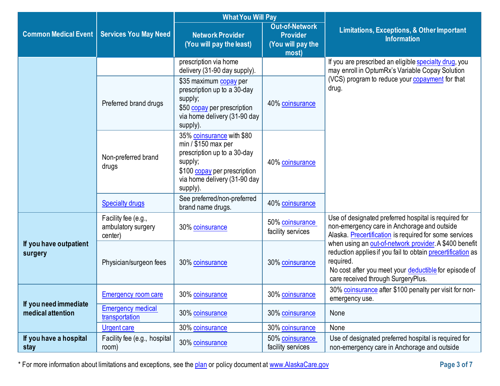|                                            |                                                      | <b>What You Will Pay</b>                                                                                                                                                |                                                                        |                                                                                                                                                                                                                                  |
|--------------------------------------------|------------------------------------------------------|-------------------------------------------------------------------------------------------------------------------------------------------------------------------------|------------------------------------------------------------------------|----------------------------------------------------------------------------------------------------------------------------------------------------------------------------------------------------------------------------------|
| <b>Common Medical Event</b>                | <b>Services You May Need</b>                         | <b>Network Provider</b><br>(You will pay the least)                                                                                                                     | <b>Out-of-Network</b><br><b>Provider</b><br>(You will pay the<br>most) | <b>Limitations, Exceptions, &amp; Other Important</b><br><b>Information</b>                                                                                                                                                      |
|                                            |                                                      | prescription via home<br>delivery (31-90 day supply).                                                                                                                   |                                                                        | If you are prescribed an eligible specialty drug, you<br>may enroll in OptumRx's Variable Copay Solution                                                                                                                         |
|                                            | Preferred brand drugs                                | \$35 maximum copay per<br>prescription up to a 30-day<br>supply;<br>\$50 copay per prescription<br>via home delivery (31-90 day<br>supply).                             | 40% coinsurance                                                        | (VCS) program to reduce your copayment for that<br>drug.                                                                                                                                                                         |
|                                            | Non-preferred brand<br>drugs                         | 35% coinsurance with \$80<br>$min / $150$ max per<br>prescription up to a 30-day<br>supply;<br>\$100 copay per prescription<br>via home delivery (31-90 day<br>supply). | 40% coinsurance                                                        |                                                                                                                                                                                                                                  |
|                                            | <b>Specialty drugs</b>                               | See preferred/non-preferred<br>brand name drugs.                                                                                                                        | 40% coinsurance                                                        |                                                                                                                                                                                                                                  |
|                                            | Facility fee (e.g.,<br>ambulatory surgery<br>center) | 30% coinsurance                                                                                                                                                         | 50% coinsurance<br>facility services                                   | Use of designated preferred hospital is required for<br>non-emergency care in Anchorage and outside<br>Alaska. Precertification is required for some services                                                                    |
| If you have outpatient<br>surgery          | Physician/surgeon fees                               | 30% coinsurance                                                                                                                                                         | 30% coinsurance                                                        | when using an out-of-network provider A \$400 benefit<br>reduction applies if you fail to obtain precertification as<br>required.<br>No cost after you meet your deductible for episode of<br>care received through SurgeryPlus. |
|                                            | <b>Emergency room care</b>                           | 30% coinsurance                                                                                                                                                         | 30% coinsurance                                                        | 30% coinsurance after \$100 penalty per visit for non-<br>emergency use.                                                                                                                                                         |
| If you need immediate<br>medical attention | <b>Emergency medical</b><br>transportation           | 30% coinsurance                                                                                                                                                         | 30% coinsurance                                                        | None                                                                                                                                                                                                                             |
|                                            | <b>Urgent care</b>                                   | 30% coinsurance                                                                                                                                                         | 30% coinsurance                                                        | None                                                                                                                                                                                                                             |
| If you have a hospital<br>stay             | Facility fee (e.g., hospital<br>room)                | 30% coinsurance                                                                                                                                                         | 50% coinsurance<br>facility services                                   | Use of designated preferred hospital is required for<br>non-emergency care in Anchorage and outside                                                                                                                              |

\* For more information about limitations and exceptions, see the [plan](https://www.healthcare.gov/sbc-glossary/#plan) or policy document at [www.AlaskaCare.gov](http://www.alaskacare.gov/) **Page 3 of 7**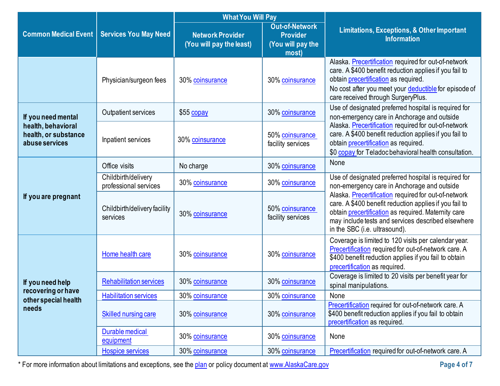|                                                              |                                              | <b>What You Will Pay</b>                            |                                                                        |                                                                                                                                                                                                                                                              |  |
|--------------------------------------------------------------|----------------------------------------------|-----------------------------------------------------|------------------------------------------------------------------------|--------------------------------------------------------------------------------------------------------------------------------------------------------------------------------------------------------------------------------------------------------------|--|
| <b>Common Medical Event</b>                                  | <b>Services You May Need</b>                 | <b>Network Provider</b><br>(You will pay the least) | <b>Out-of-Network</b><br><b>Provider</b><br>(You will pay the<br>most) | Limitations, Exceptions, & Other Important<br><b>Information</b>                                                                                                                                                                                             |  |
|                                                              | Physician/surgeon fees                       | 30% coinsurance                                     | 30% coinsurance                                                        | Alaska. Precertification required for out-of-network<br>care. A \$400 benefit reduction applies if you fail to<br>obtain <i>precertification</i> as required.<br>No cost after you meet your deductible for episode of<br>care received through SurgeryPlus. |  |
| If you need mental                                           | Outpatient services                          | \$55 copay                                          | 30% coinsurance                                                        | Use of designated preferred hospital is required for<br>non-emergency care in Anchorage and outside                                                                                                                                                          |  |
| health, behavioral<br>health, or substance<br>abuse services | Inpatient services                           | 30% coinsurance                                     | 50% coinsurance<br>facility services                                   | Alaska. Precertification required for out-of-network<br>care. A \$400 benefit reduction applies if you fail to<br>obtain precertification as required.<br>\$0 copay for Teladoc behavioral health consultation.                                              |  |
|                                                              | Office visits                                | No charge                                           | 30% coinsurance                                                        | None                                                                                                                                                                                                                                                         |  |
| If you are pregnant                                          | Childbirth/delivery<br>professional services | 30% coinsurance                                     | 30% coinsurance                                                        | Use of designated preferred hospital is required for<br>non-emergency care in Anchorage and outside                                                                                                                                                          |  |
|                                                              | Childbirth/delivery facility<br>services     | 30% coinsurance                                     | 50% coinsurance<br>facility services                                   | Alaska. Precertification required for out-of-network<br>care. A \$400 benefit reduction applies if you fail to<br>obtain precertification as required. Maternity care<br>may include tests and services described elsewhere<br>in the SBC (i.e. ultrasound). |  |
|                                                              | Home health care                             | 30% coinsurance                                     | 30% coinsurance                                                        | Coverage is limited to 120 visits per calendar year.<br>Precertification required for out-of-network care. A<br>\$400 benefit reduction applies if you fail to obtain<br>precertification as required.                                                       |  |
| If you need help                                             | <b>Rehabilitation services</b>               | 30% coinsurance                                     | 30% coinsurance                                                        | Coverage is limited to 20 visits per benefit year for<br>spinal manipulations.                                                                                                                                                                               |  |
| recovering or have<br>other special health<br>needs          | <b>Habilitation services</b>                 | 30% coinsurance                                     | 30% coinsurance                                                        | None                                                                                                                                                                                                                                                         |  |
|                                                              | <b>Skilled nursing care</b>                  | 30% coinsurance                                     | 30% coinsurance                                                        | Precertification required for out-of-network care. A<br>\$400 benefit reduction applies if you fail to obtain<br>precertification as required.                                                                                                               |  |
|                                                              | Durable medical<br>equipment                 | 30% coinsurance                                     | 30% coinsurance                                                        | None                                                                                                                                                                                                                                                         |  |
|                                                              | <b>Hospice services</b>                      | 30% coinsurance                                     | 30% coinsurance                                                        | Precertification required for out-of-network care. A                                                                                                                                                                                                         |  |

\* For more information about limitations and exceptions, see the [plan](https://www.healthcare.gov/sbc-glossary/#plan) or policy document at [www.AlaskaCare.gov](http://www.alaskacare.gov/) **Page 4 of 7**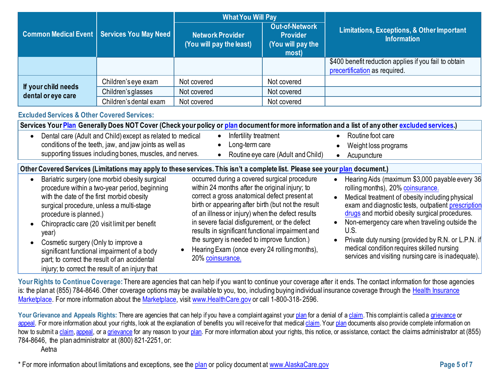|                                           |                                              | <b>What You Will Pay</b>                     |                                                                        |                                                                                        |  |
|-------------------------------------------|----------------------------------------------|----------------------------------------------|------------------------------------------------------------------------|----------------------------------------------------------------------------------------|--|
|                                           | Common Medical Event   Services You May Need | Network Provider<br>(You will pay the least) | <b>Out-of-Network</b><br><b>Provider</b><br>(You will pay the<br>most) | <b>Limitations, Exceptions, &amp; Other Important</b><br><b>Information</b>            |  |
|                                           |                                              |                                              |                                                                        | \$400 benefit reduction applies if you fail to obtain<br>precertification as required. |  |
|                                           | Children's eye exam                          | Not covered                                  | Not covered                                                            |                                                                                        |  |
| If your child needs<br>dental or eye care | Children's glasses                           | Not covered                                  | Not covered                                                            |                                                                                        |  |
|                                           | Children's dental exam                       | Not covered                                  | Not covered                                                            |                                                                                        |  |

## **Excluded Services & Other Covered Services:**

| Services Your Plan Generally Does NOT Cover (Check your policy or plan document for more information and a list of any other excluded services.)                                                                                                                                                                                                                                                                                                                      |                                                                                                                                                                                                                                                                                                                                                                                                                                                                                  |                                                                                                                                                                                                                                                                                                                                                                                                                                                                   |
|-----------------------------------------------------------------------------------------------------------------------------------------------------------------------------------------------------------------------------------------------------------------------------------------------------------------------------------------------------------------------------------------------------------------------------------------------------------------------|----------------------------------------------------------------------------------------------------------------------------------------------------------------------------------------------------------------------------------------------------------------------------------------------------------------------------------------------------------------------------------------------------------------------------------------------------------------------------------|-------------------------------------------------------------------------------------------------------------------------------------------------------------------------------------------------------------------------------------------------------------------------------------------------------------------------------------------------------------------------------------------------------------------------------------------------------------------|
| Dental care (Adult and Child) except as related to medical<br>conditions of the teeth, jaw, and jaw joints as well as<br>supporting tissues including bones, muscles, and nerves.                                                                                                                                                                                                                                                                                     | Infertility treatment<br>Long-term care<br>Routine eye care (Adult and Child)                                                                                                                                                                                                                                                                                                                                                                                                    | Routine foot care<br>$\bullet$<br>Weight loss programs<br>Acupuncture                                                                                                                                                                                                                                                                                                                                                                                             |
| Other Covered Services (Limitations may apply to these services. This isn't a complete list. Please see your plan document.)                                                                                                                                                                                                                                                                                                                                          |                                                                                                                                                                                                                                                                                                                                                                                                                                                                                  |                                                                                                                                                                                                                                                                                                                                                                                                                                                                   |
| Bariatric surgery (one morbid obesity surgical<br>procedure within a two-year period, beginning<br>with the date of the first morbid obesity<br>surgical procedure, unless a multi-stage<br>procedure is planned.)<br>Chiropractic care (20 visit limit per benefit<br>year)<br>Cosmetic surgery (Only to improve a<br>significant functional impairment of a body<br>part; to correct the result of an accidental<br>injury; to correct the result of an injury that | occurred during a covered surgical procedure<br>within 24 months after the original injury; to<br>correct a gross anatomical defect present at<br>birth or appearing after birth (but not the result<br>of an illness or injury) when the defect results<br>in severe facial disfigurement, or the defect<br>results in significant functional impairment and<br>the surgery is needed to improve function.)<br>Hearing Exam (once every 24 rolling months),<br>20% coinsurance. | Hearing Aids (maximum \$3,000 payable every 36<br>rolling months), 20% coinsurance.<br>Medical treatment of obesity including physical<br>exam and diagnostic tests, outpatient prescription<br>drugs and morbid obesity surgical procedures.<br>Non-emergency care when traveling outside the<br>U.S.<br>Private duty nursing (provided by R.N. or L.P.N. if<br>medical condition requires skilled nursing<br>services and visiting nursing care is inadequate). |

Your Rights to Continue Coverage: There are agencies that can help if you want to continue your coverage after it ends. The contact information for those agencies is: the plan at (855) 784-8646. Other coverage options may be available to you, too, including buying individual insurance coverage through the [Health Insurance](https://www.healthcare.gov/sbc-glossary/#health-insurance) [Marketplace.](https://www.healthcare.gov/sbc-glossary/#marketplace) For more information about th[e Marketplace,](https://www.healthcare.gov/sbc-glossary/#marketplace) visit [www.HealthCare.gov](http://www.healthcare.gov/) or call 1-800-318- 2596.

Your Grievance and Appeals Rights: There are agencies that can help if you have a complaint against you[r plan](https://www.healthcare.gov/sbc-glossary/#plan) for a denial of a [claim.](https://www.healthcare.gov/sbc-glossary/#claim) This complaint is called a [grievance](https://www.healthcare.gov/sbc-glossary/#grievance) or [appeal.](https://www.healthcare.gov/sbc-glossary/#appeal) For more information about your rights, look at the explanation of benefits you will receive for that medica[l claim.](https://www.healthcare.gov/sbc-glossary/#claim) Your [plan](https://www.healthcare.gov/sbc-glossary/#plan) documents also provide complete information on how to submit [a claim,](https://www.healthcare.gov/sbc-glossary/#claim) [appeal,](https://www.healthcare.gov/sbc-glossary/#appeal) or [a grievance](https://www.healthcare.gov/sbc-glossary/#grievance) for any reason to your [plan.](https://www.healthcare.gov/sbc-glossary/#plan) For more information about your rights, this notice, or assistance, contact: the claims administrator at (855) 784-8646, the plan administrator at (800) 821-2251, or:

#### Aetna

\* For more information about limitations and exceptions, see the [plan](https://www.healthcare.gov/sbc-glossary/#plan) or policy document at [www.AlaskaCare.gov](http://www.alaskacare.gov/) **Page 5 of 7**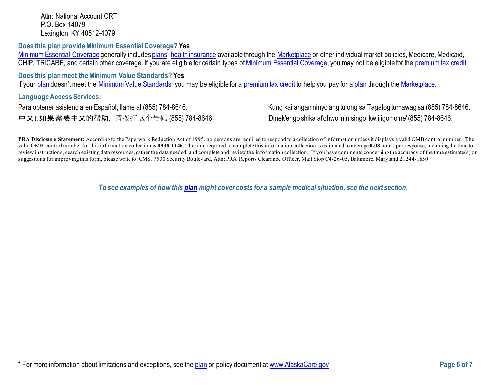Attn: National Account CRT P.O. Box 14079 [Lexington,](http://www.aetna.com/individuals-families-health-insurance/rights-resources/complaints-grievances-appeals/index.html) KY 40512-4079

**Does this plan provide Minimum Essential Coverage? Yes**

[Minimum Essential Coverage](https://www.healthcare.gov/sbc-glossary/#minimum-essential-coverage) generally include[s plans,](https://www.healthcare.gov/sbc-glossary/#plan) [health insurance](https://www.healthcare.gov/sbc-glossary/#health-insurance) available through the [Marketplace](https://www.healthcare.gov/sbc-glossary/#marketplace) or other individual market policies, Medicare, Medicaid, CHIP, TRICARE, and certain other coverage. If you are eligible for certain types of [Minimum Essential Coverage,](https://www.healthcare.gov/sbc-glossary/#minimum-essential-coverage) you may not be eligible for the [premium tax credit.](https://www.healthcare.gov/sbc-glossary/#premium-tax-credits)

**Does this plan meet the Minimum Value Standards? Yes**

If your [plan](https://www.healthcare.gov/sbc-glossary/#plan) doesn't meet the [Minimum Value Standards,](https://www.healthcare.gov/sbc-glossary/#minimum-value-standard) you may be eligible for a [premium tax credit](https://www.healthcare.gov/sbc-glossary/#premium-tax-credits) to help you pay for [a plan](https://www.healthcare.gov/sbc-glossary/#plan) through the [Marketplace.](https://www.healthcare.gov/sbc-glossary/#marketplace)

**Language Access Services:**

中文): 如果需要中文的帮助, 请拨打这个号码 (855) 784-8646. Dinek'ehgo shika at'ohwol ninisingo, kwiijigo holne' (855) 784-8646.

Para obtener asistencia en Español, Ilame al (855) 784-8646. Kung kailangan ninyo ang tulong sa Tagalog tumawag sa (855) 784-8646.

**PRA Disclosure Statement:** According to the Paperwork Reduction Act of 1995, no persons are required to respond to a collection of information unless it displays a valid OMB control number. The valid OMB control number for this information collection is **0938-1146**. The time required to complete this information collection is estimated to average **0.08** hours per response, including the time to review instructions, search existing data resources, gather the data needed, and complete and review the information collection. If you have comments concerning the accuracy of the time estimate(s) or suggestions for improving this form, please write to: CMS, 7500 Security Boulevard, Attn: PRA Reports Clearance Officer, Mail Stop C4-26-05, Baltimore, Maryland 21244-1850.

*To see examples of how this [plan](https://www.healthcare.gov/sbc-glossary/#plan) might cover costs for a sample medical situation, see the next section.*